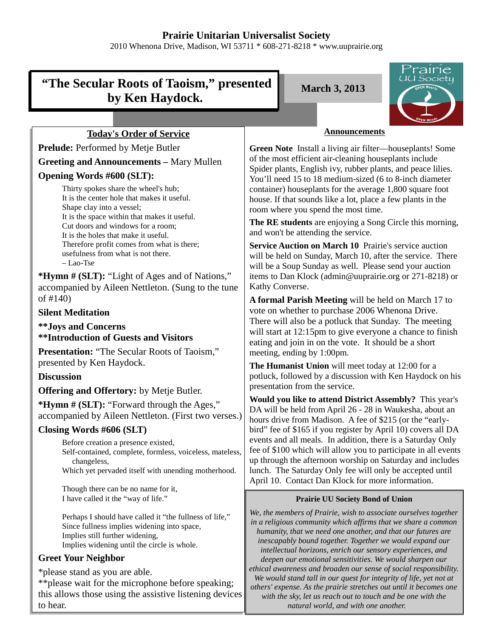## **Prairie Unitarian Universalist Society**

2010 Whenona Drive, Madison, WI 53711 \* 608-271-8218 \* www.uuprairie.org

# **"The Secular Roots of Taoism," presented by Ken Haydock.**

**March 3, 2013**



## **Today's Order of Service**

Prelude: Performed by Metje Butler

## **Greeting and Announcements –** Mary Mullen

## **Opening Words #600 (SLT):**

Thirty spokes share the wheel's hub; It is the center hole that makes it useful. Shape clay into a vessel; It is the space within that makes it useful. Cut doors and windows for a room; It is the holes that make it useful. Therefore profit comes from what is there; usefulness from what is not there. – Lao-Tse

**\*Hymn # (SLT):** "Light of Ages and of Nations," accompanied by Aileen Nettleton. (Sung to the tune of #140)

## **Silent Meditation**

**\*\*Joys and Concerns \*\*Introduction of Guests and Visitors**

**Presentation:** "The Secular Roots of Taoism," presented by Ken Haydock.

## **Discussion**

## **Offering and Offertory:** by Metje Butler.

**\*Hymn # (SLT):** "Forward through the Ages," accompanied by Aileen Nettleton. (First two verses.)

## **Closing Words #606 (SLT)**

Before creation a presence existed, Self-contained, complete, formless, voiceless, mateless, changeless, Which yet pervaded itself with unending motherhood.

Though there can be no name for it, I have called it the "way of life."

Perhaps I should have called it "the fullness of life," Since fullness implies widening into space, Implies still further widening, Implies widening until the circle is whole.

## **Greet Your Neighbor**

\*please stand as you are able.

\*\*please wait for the microphone before speaking; this allows those using the assistive listening devices to hear.

#### **Announcements**

**Green Note** Install a living air filter—houseplants! Some of the most efficient air-cleaning houseplants include Spider plants, English ivy, rubber plants, and peace lilies. You'll need 15 to 18 medium-sized (6 to 8-inch diameter container) houseplants for the average 1,800 square foot house. If that sounds like a lot, place a few plants in the room where you spend the most time.

**The RE students** are enjoying a Song Circle this morning, and won't be attending the service.

**Service Auction on March 10** Prairie's service auction will be held on Sunday, March 10, after the service. There will be a Soup Sunday as well. Please send your auction items to Dan Klock (admin@uuprairie.org or 271-8218) or Kathy Converse.

**A formal Parish Meeting** will be held on March 17 to vote on whether to purchase 2006 Whenona Drive. There will also be a potluck that Sunday. The meeting will start at 12:15pm to give everyone a chance to finish eating and join in on the vote. It should be a short meeting, ending by 1:00pm.

**The Humanist Union** will meet today at 12:00 for a potluck, followed by a discussion with Ken Haydock on his presentation from the service.

**Would you like to attend District Assembly?** This year's DA will be held from April 26 - 28 in Waukesha, about an hours drive from Madison. A fee of \$215 (or the "earlybird" fee of \$165 if you register by April 10) covers all DA events and all meals. In addition, there is a Saturday Only fee of \$100 which will allow you to participate in all events up through the afternoon worship on Saturday and includes lunch. The Saturday Only fee will only be accepted until April 10. Contact Dan Klock for more information.

#### **Prairie UU Society Bond of Union**

*We, the members of Prairie, wish to associate ourselves together in a religious community which affirms that we share a common humanity, that we need one another, and that our futures are inescapably bound together. Together we would expand our intellectual horizons, enrich our sensory experiences, and deepen our emotional sensitivities. We would sharpen our ethical awareness and broaden our sense of social responsibility. We would stand tall in our quest for integrity of life, yet not at others' expense. As the prairie stretches out until it becomes one with the sky, let us reach out to touch and be one with the natural world, and with one another.*